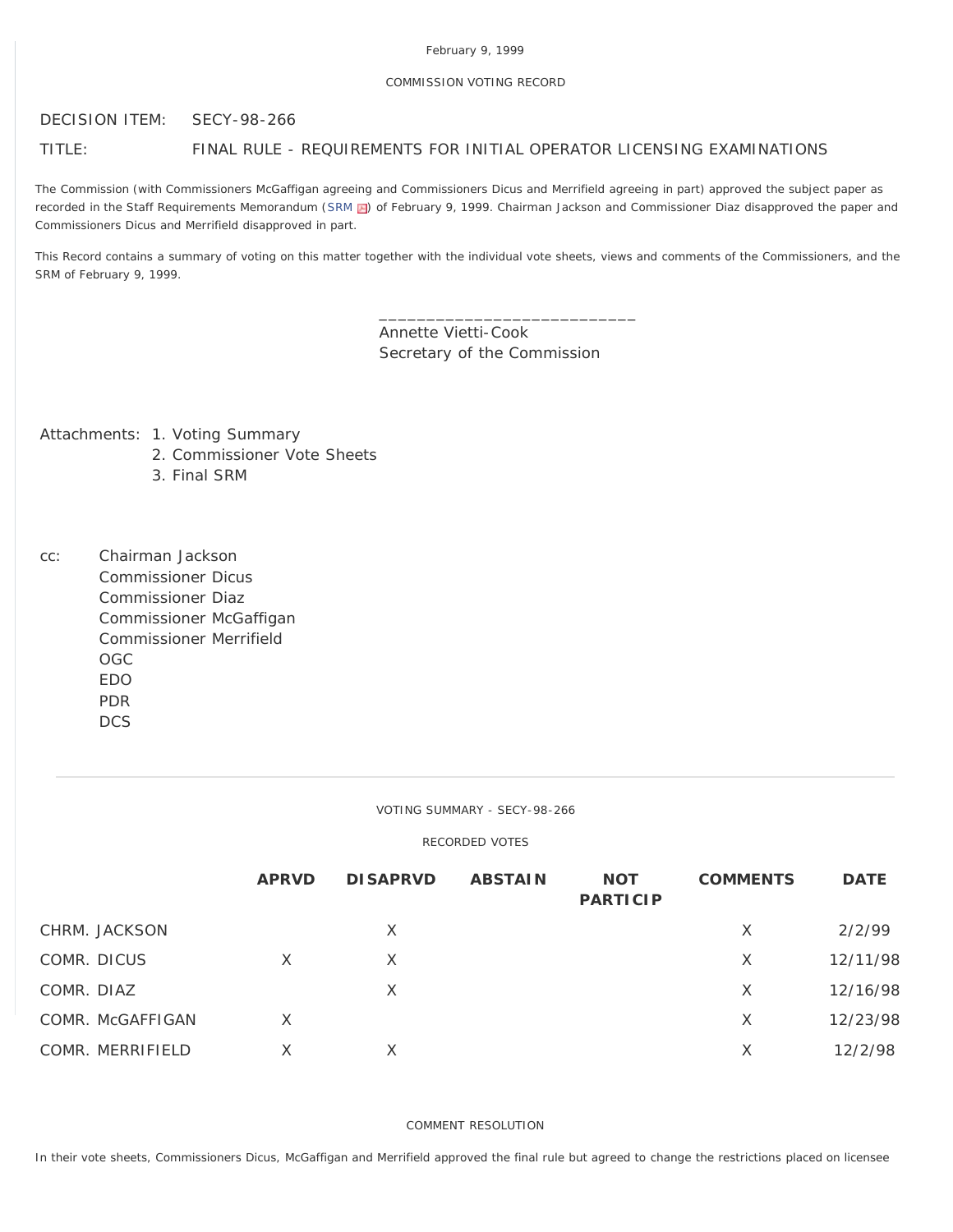# COMMISSION VOTING RECORD

DECISION ITEM: SECY-98-266

# TITLE: FINAL RULE - REQUIREMENTS FOR INITIAL OPERATOR LICENSING EXAMINATIONS

The Commission (with Commissioners McGaffigan agreeing and Commissioners Dicus and Merrifield agreeing in part) approved the subject paper as recorded in the Staff Requirements Memorandum [\(SRM](http://www.nrc.gov/reading-rm/doc-collections/commission/srm/meet/1999/m19990209b.pdf) ) of February 9, 1999. Chairman Jackson and Commissioner Diaz disapproved the paper and Commissioners Dicus and Merrifield disapproved in part.

This Record contains a summary of voting on this matter together with the individual vote sheets, views and comments of the Commissioners, and the SRM of February 9, 1999.

> Annette Vietti-Cook Secretary of the Commission

\_\_\_\_\_\_\_\_\_\_\_\_\_\_\_\_\_\_\_\_\_\_\_\_\_\_\_

Attachments: 1. Voting Summary

- 2. Commissioner Vote Sheets
- 3. Final SRM

cc: Chairman Jackson Commissioner Dicus Commissioner Diaz Commissioner McGaffigan Commissioner Merrifield OGC EDO PDR **DCS** 

VOTING SUMMARY - SECY-98-266

# RECORDED VOTES

|                  | <b>APRVD</b> | <b>DISAPRVD</b> | <b>ABSTAIN</b> | <b>NOT</b><br><b>PARTICIP</b> | <b>COMMENTS</b> | <b>DATE</b> |
|------------------|--------------|-----------------|----------------|-------------------------------|-----------------|-------------|
| CHRM. JACKSON    |              | X               |                |                               | $\times$        | 2/2/99      |
| COMR. DICUS      | X            | X               |                |                               | X               | 12/11/98    |
| COMR. DIAZ       |              | X               |                |                               | X               | 12/16/98    |
| COMR. McGAFFIGAN | X            |                 |                |                               | X               | 12/23/98    |
| COMR. MERRIFIELD | X            | X               |                |                               | X               | 12/2/98     |

COMMENT RESOLUTION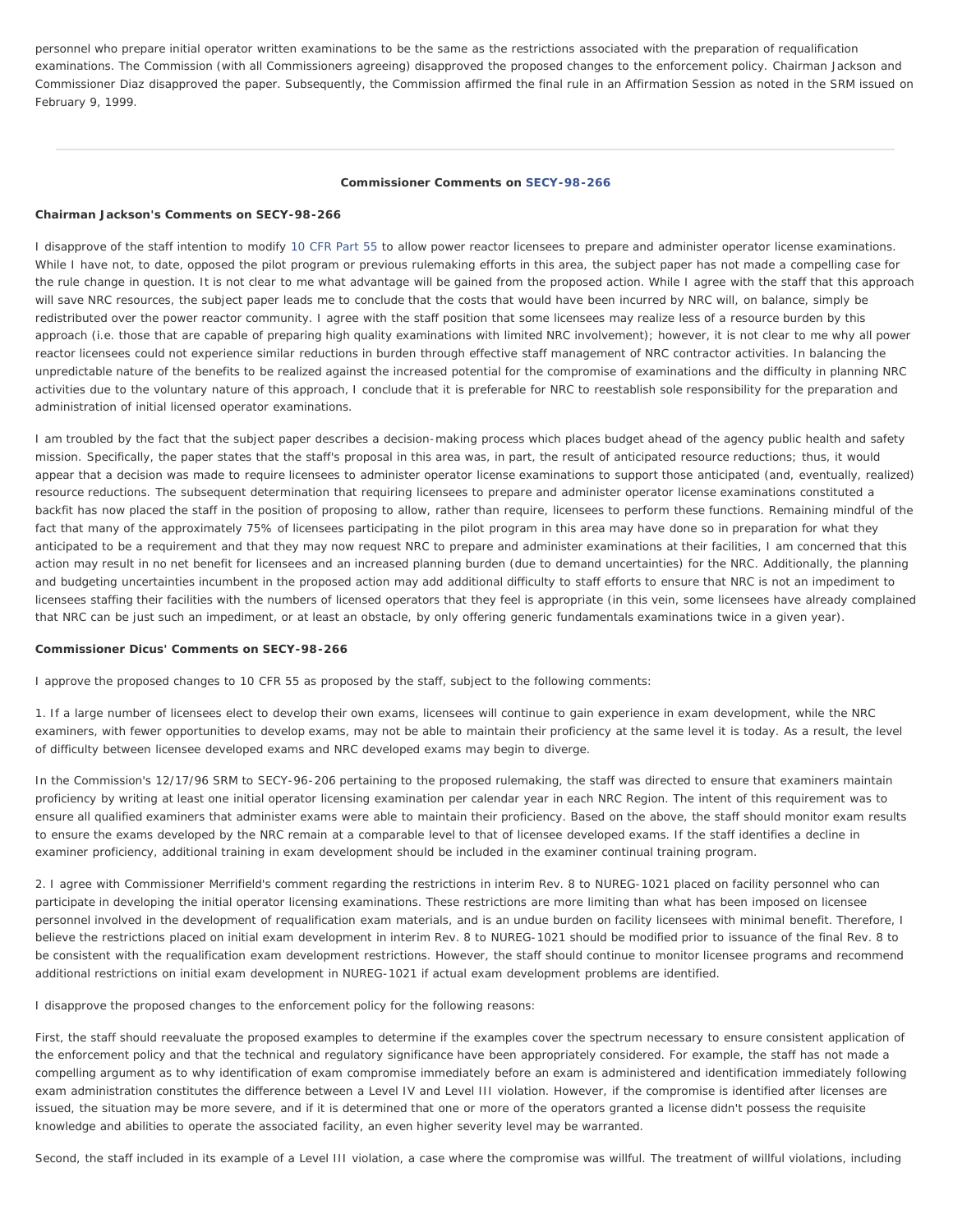personnel who prepare initial operator written examinations to be the same as the restrictions associated with the preparation of requalification examinations. The Commission (with all Commissioners agreeing) disapproved the proposed changes to the enforcement policy. Chairman Jackson and Commissioner Diaz disapproved the paper. Subsequently, the Commission affirmed the final rule in an Affirmation Session as noted in the SRM issued on February 9, 1999.

#### **Commissioner Comments on [SECY-98-266](http://www.nrc.gov/reading-rm/doc-collections/commission/secys/1998/secy1998-266/1998-266scy.html)**

#### **Chairman Jackson's Comments on SECY-98-266**

I disapprove of the staff intention to modify [10 CFR Part 55](http://www.nrc.gov/reading-rm/doc-collections/cfr/part055/) to allow power reactor licensees to prepare and administer operator license examinations. While I have not, to date, opposed the pilot program or previous rulemaking efforts in this area, the subject paper has not made a compelling case for the rule change in question. It is not clear to me what advantage will be gained from the proposed action. While I agree with the staff that this approach will save NRC resources, the subject paper leads me to conclude that the costs that would have been incurred by NRC will, on balance, simply be redistributed over the power reactor community. I agree with the staff position that some licensees may realize less of a resource burden by this approach (i.e. those that are capable of preparing high quality examinations with limited NRC involvement); however, it is not clear to me why all power reactor licensees could not experience similar reductions in burden through effective staff management of NRC contractor activities. In balancing the unpredictable nature of the benefits to be realized against the increased potential for the compromise of examinations and the difficulty in planning NRC activities due to the voluntary nature of this approach, I conclude that it is preferable for NRC to reestablish sole responsibility for the preparation and administration of initial licensed operator examinations.

I am troubled by the fact that the subject paper describes a decision-making process which places budget ahead of the agency public health and safety mission. Specifically, the paper states that the staff's proposal in this area was, in part, the result of anticipated resource reductions; thus, it would appear that a decision was made to require licensees to administer operator license examinations to support those anticipated (and, eventually, realized) resource reductions. The subsequent determination that requiring licensees to prepare and administer operator license examinations constituted a backfit has now placed the staff in the position of proposing to allow, rather than require, licensees to perform these functions. Remaining mindful of the fact that many of the approximately 75% of licensees participating in the pilot program in this area may have done so in preparation for what they anticipated to be a requirement and that they may now request NRC to prepare and administer examinations at their facilities, I am concerned that this action may result in no net benefit for licensees and an increased planning burden (due to demand uncertainties) for the NRC. Additionally, the planning and budgeting uncertainties incumbent in the proposed action may add additional difficulty to staff efforts to ensure that NRC is not an impediment to licensees staffing their facilities with the numbers of licensed operators that they feel is appropriate (in this vein, some licensees have already complained that NRC can be just such an impediment, or at least an obstacle, by only offering generic fundamentals examinations twice in a given year).

#### **Commissioner Dicus' Comments on SECY-98-266**

I approve the proposed changes to 10 CFR 55 as proposed by the staff, subject to the following comments:

1. If a large number of licensees elect to develop their own exams, licensees will continue to gain experience in exam development, while the NRC examiners, with fewer opportunities to develop exams, may not be able to maintain their proficiency at the same level it is today. As a result, the level of difficulty between licensee developed exams and NRC developed exams may begin to diverge.

In the Commission's 12/17/96 SRM to SECY-96-206 pertaining to the proposed rulemaking, the staff was directed to ensure that examiners maintain proficiency by writing at least one initial operator licensing examination per calendar year in each NRC Region. The intent of this requirement was to ensure all qualified examiners that administer exams were able to maintain their proficiency. Based on the above, the staff should monitor exam results to ensure the exams developed by the NRC remain at a comparable level to that of licensee developed exams. If the staff identifies a decline in examiner proficiency, additional training in exam development should be included in the examiner continual training program.

2. I agree with Commissioner Merrifield's comment regarding the restrictions in interim Rev. 8 to NUREG-1021 placed on facility personnel who can participate in developing the initial operator licensing examinations. These restrictions are more limiting than what has been imposed on licensee personnel involved in the development of requalification exam materials, and is an undue burden on facility licensees with minimal benefit. Therefore, I believe the restrictions placed on initial exam development in interim Rev. 8 to NUREG-1021 should be modified prior to issuance of the final Rev. 8 to be consistent with the requalification exam development restrictions. However, the staff should continue to monitor licensee programs and recommend additional restrictions on initial exam development in NUREG-1021 if actual exam development problems are identified.

I disapprove the proposed changes to the enforcement policy for the following reasons:

First, the staff should reevaluate the proposed examples to determine if the examples cover the spectrum necessary to ensure consistent application of the enforcement policy and that the technical and regulatory significance have been appropriately considered. For example, the staff has not made a compelling argument as to why identification of exam compromise immediately before an exam is administered and identification immediately following exam administration constitutes the difference between a Level IV and Level III violation. However, if the compromise is identified after licenses are issued, the situation may be more severe, and if it is determined that one or more of the operators granted a license didn't possess the requisite knowledge and abilities to operate the associated facility, an even higher severity level may be warranted.

Second, the staff included in its example of a Level III violation, a case where the compromise was willful. The treatment of willful violations, including